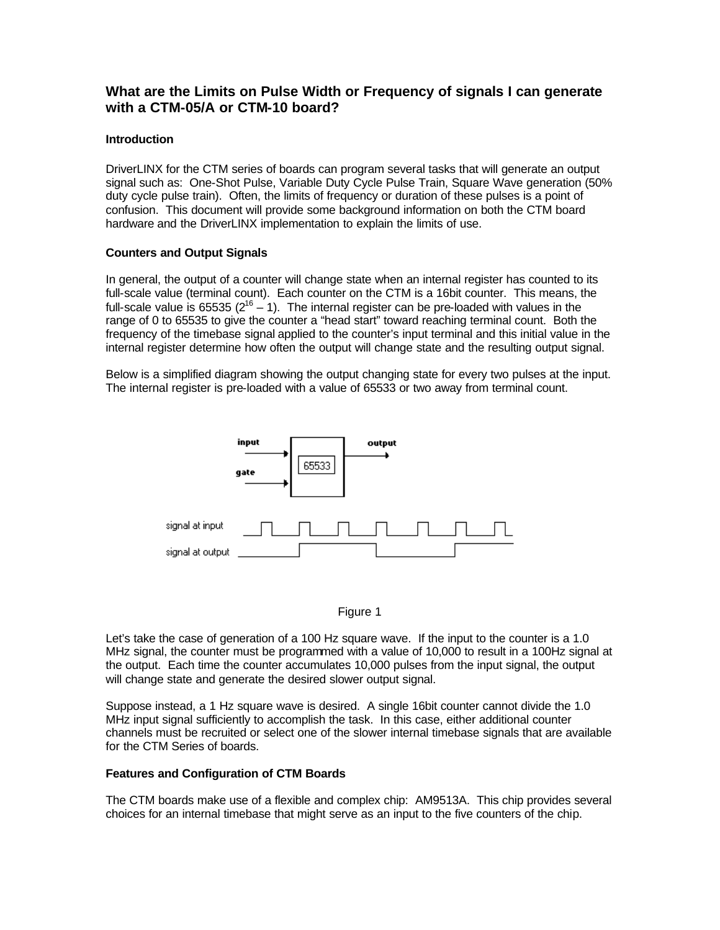# **What are the Limits on Pulse Width or Frequency of signals I can generate with a CTM-05/A or CTM-10 board?**

## **Introduction**

DriverLINX for the CTM series of boards can program several tasks that will generate an output signal such as: One-Shot Pulse, Variable Duty Cycle Pulse Train, Square Wave generation (50% duty cycle pulse train). Often, the limits of frequency or duration of these pulses is a point of confusion. This document will provide some background information on both the CTM board hardware and the DriverLINX implementation to explain the limits of use.

## **Counters and Output Signals**

In general, the output of a counter will change state when an internal register has counted to its full-scale value (terminal count). Each counter on the CTM is a 16bit counter. This means, the full-scale value is 65535 ( $2^{16} - 1$ ). The internal register can be pre-loaded with values in the range of 0 to 65535 to give the counter a "head start" toward reaching terminal count. Both the frequency of the timebase signal applied to the counter's input terminal and this initial value in the internal register determine how often the output will change state and the resulting output signal.

Below is a simplified diagram showing the output changing state for every two pulses at the input. The internal register is pre-loaded with a value of 65533 or two away from terminal count.





Let's take the case of generation of a 100 Hz square wave. If the input to the counter is a 1.0 MHz signal, the counter must be programmed with a value of 10,000 to result in a 100Hz signal at the output. Each time the counter accumulates 10,000 pulses from the input signal, the output will change state and generate the desired slower output signal.

Suppose instead, a 1 Hz square wave is desired. A single 16bit counter cannot divide the 1.0 MHz input signal sufficiently to accomplish the task. In this case, either additional counter channels must be recruited or select one of the slower internal timebase signals that are available for the CTM Series of boards.

### **Features and Configuration of CTM Boards**

The CTM boards make use of a flexible and complex chip: AM9513A. This chip provides several choices for an internal timebase that might serve as an input to the five counters of the chip.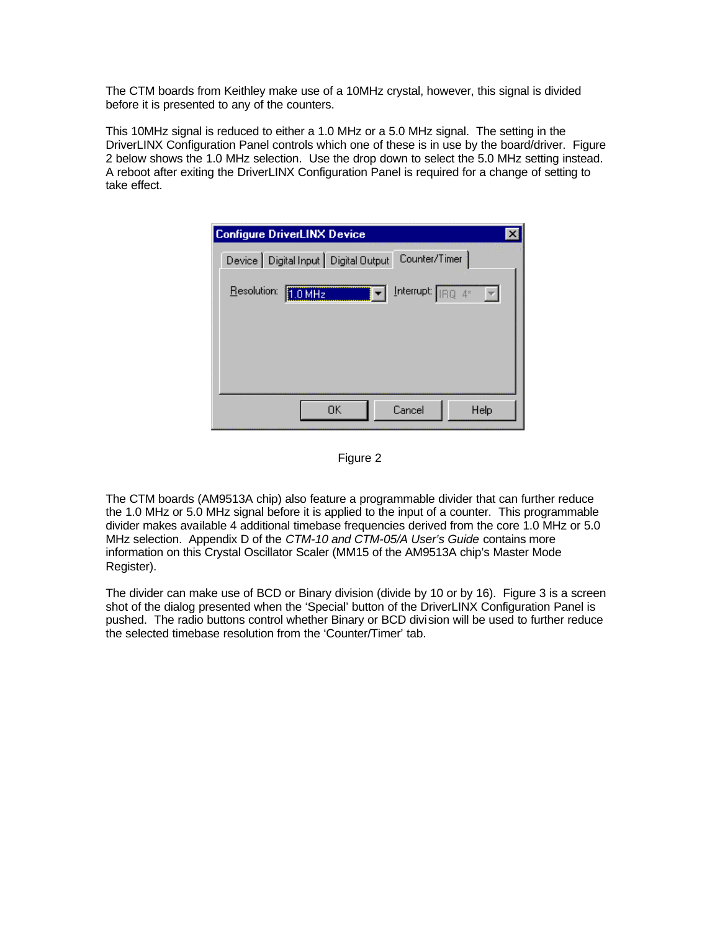The CTM boards from Keithley make use of a 10MHz crystal, however, this signal is divided before it is presented to any of the counters.

This 10MHz signal is reduced to either a 1.0 MHz or a 5.0 MHz signal. The setting in the DriverLINX Configuration Panel controls which one of these is in use by the board/driver. Figure 2 below shows the 1.0 MHz selection. Use the drop down to select the 5.0 MHz setting instead. A reboot after exiting the DriverLINX Configuration Panel is required for a change of setting to take effect.

| <b>Configure DriverLINX Device</b>                       |  |
|----------------------------------------------------------|--|
| Counter/Timer<br>Device   Digital Input   Digital Output |  |
| Interrupt: $\boxed{IBQ}$ 4*<br>Resolution:<br>1.0 MHz    |  |
|                                                          |  |
|                                                          |  |
|                                                          |  |
| OΚ<br>Cancel<br>Help                                     |  |

Figure 2

The CTM boards (AM9513A chip) also feature a programmable divider that can further reduce the 1.0 MHz or 5.0 MHz signal before it is applied to the input of a counter. This programmable divider makes available 4 additional timebase frequencies derived from the core 1.0 MHz or 5.0 MHz selection. Appendix D of the *CTM-10 and CTM-05/A User's Guide* contains more information on this Crystal Oscillator Scaler (MM15 of the AM9513A chip's Master Mode Register).

The divider can make use of BCD or Binary division (divide by 10 or by 16). Figure 3 is a screen shot of the dialog presented when the 'Special' button of the DriverLINX Configuration Panel is pushed. The radio buttons control whether Binary or BCD division will be used to further reduce the selected timebase resolution from the 'Counter/Timer' tab.